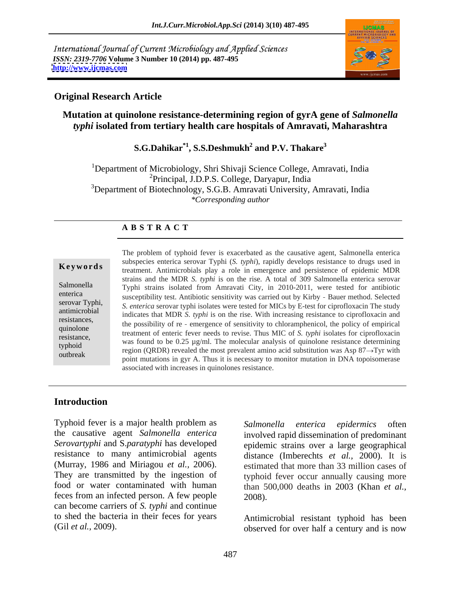International Journal of Current Microbiology and Applied Sciences *ISSN: 2319-7706* **Volume 3 Number 10 (2014) pp. 487-495 <http://www.ijcmas.com>**



### **Original Research Article**

# **Mutation at quinolone resistance-determining region of gyrA gene of** *Salmonella typhi* **isolated from tertiary health care hospitals of Amravati, Maharashtra**

### S.G.Dahikar<sup>\*1</sup>, S.S.Deshmukh<sup>2</sup> and P.V. Thakare<sup>3</sup> **and P.V. Thakare3**

<sup>1</sup>Department of Microbiology, Shri Shivaji Science College, Amravati, India 2Principal, J.D.P.S. College, Daryapur, India <sup>3</sup>Department of Biotechnology, S.G.B. Amravati University, Amravati, India *\*Corresponding author* 

### **A B S T R A C T**

**Keywords** treatment. Antimicrobials play a role in emergence and persistence of epidemic MDR Salmonella Typhi strains isolated from Amravati City, in 2010-2011, were tested for antibiotic enterica susceptibility test. Antibiotic sensitivity was carried out by Kirby - Bauer method. Selected serovar Typhi,<br> *S. enterica* serovar typhi isolates were tested for MICs by E-test for ciprofloxacin The study antimicrobial indicates that MDR *S. typhi* is on the rise. With increasing resistance to ciprofloxacin and resistances,<br>the possibility of re - emergence of sensitivity to chloramphenicol, the policy of empirical quinolone<br>treatment of enteric fever needs to revise. Thus MIC of *S. typhi* isolates for ciprofloxacin<br>resistance resistance,<br>
was found to be  $0.25 \text{ µg/ml}$ . The molecular analysis of quinolone resistance determining<br>
turboid typhoid was found to be  $0.25 \text{ kg/m}$ . The molecular analysis of quinolone resistance determining<br>cuthreak region (QRDR) revealed the most prevalent amino acid substitution was Asp 87 $\rightarrow$ Tyr with outbreak  $P(S|X)$  revealed the most prevalent annual activistication was  $S(S) \to PyI$  with point mutations in gyr A. Thus it is necessary to monitor mutation in DNA topoisomerase The problem of typhoid fever is exacerbated as the causative agent, Salmonella enterica subspecies enterica serovar Typhi (*S. typhi*), rapidly develops resistance to drugs used in strains and the MDR *S. typhi* is on the rise. A total of 309 Salmonella enterica serovar associated with increases in quinolones resistance.

### **Introduction**

Typhoid fever is a major health problem as Salmonella enterica epidermics often the causative agent *Salmonella enterica* involved rapid dissemination of predominant *Serovartyphi* and S.*paratyphi* has developed resistance to many antimicrobial agents (Murray, 1986 and Miriagou *et al.,* 2006). They are transmitted by the ingestion of food or water contaminated with human feces from an infected person. A few people can become carriers of *S. typhi* and continue to shed the bacteria in their feces for years

*Salmonella enterica epidermics* often epidemic strains over a large geographical distance (Imberechts *et al.,* 2000). It is estimated that more than 33 million cases of typhoid fever occur annually causing more than 500,000 deaths in 2003 (Khan *et al.,* 2008).

(Gil *et al.*, 2009). **b**served for over half a century and is now Antimicrobial resistant typhoid has been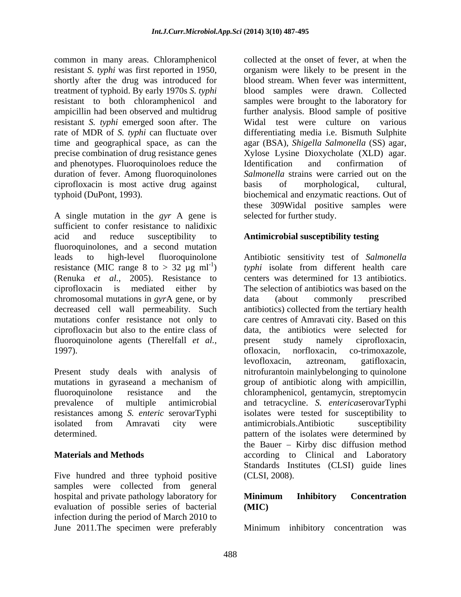common in many areas. Chloramphenicol shortly after the drug was introduced for rate of MDR of *S. typhi* can fluctuate over and phenotypes. Fluoroquinoloes reduce the Identification and confirmation of duration of fever. Among fluoroquinolones ciprofloxacin is most active drug against

A single mutation in the *gyr* A gene is sufficient to confer resistance to nalidixic acid and reduce susceptibility to **Antimicrobial susceptibility testing** fluoroquinolones, and a second mutation leads to high-level fluoroquinolone Antibiotic sensitivity test of *Salmonella*  resistance (MIC range 8 to  $> 32 \mu g$  ml<sup>-1</sup>) *typhi* isolate from different health care (Renuka *et al.,* 2005). Resistance to ciprofloxacin is mediated either by The selection of antibiotics was based on the chromosomal mutations in *gyr*A gene, or by decreased cell wall permeability. Such antibiotics) collected from the tertiary health mutations confer resistance not only to care centres of Amravati city. Based on this ciprofloxacin but also to the entire class of data, the antibiotics were selected for fluoroquinolone agents (Therelfall *et al.,* 1997). (a) of loxacin, norfloxacin, co-trimoxazole,

Five hundred and three typhoid positive samples were collected from general hospital and private pathology laboratory for **Minimum** Inhibitory Concentration evaluation of possible series of bacterial infection during the period of March 2010 to<br>June 2011. The specimen were preferably June 2011.The specimen were preferably Minimum inhibitory concentration was

resistant *S. typhi* was first reported in 1950, organism were likely to be present in the treatment of typhoid. By early 1970s *S. typhi* blood samples were drawn. Collected resistant to both chloramphenicol and samples were brought to the laboratory for ampicillin had been observed and multidrug further analysis. Blood sample of positive resistant *S. typhi* emerged soon after. The Widal test were culture on various time and geographical space, as can the agar (BSA), *Shigella Salmonella* (SS) agar, precise combination of drug resistance genes Xylose Lysine Dioxycholate (XLD) agar. typhoid (DuPont, 1993). biochemical and enzymatic reactions. Out of collected at the onset of fever, at when the blood stream. When fever was intermittent, differentiating media i.e. Bismuth Sulphite Identification and confirmation of *Salmonella* strains were carried out on the basis of morphological, cultural, these 309Widal positive samples were selected for further study.

Present study deals with analysis of nitrofurantoin mainlybelonging to quinolone mutations in gyraseand a mechanism of group of antibiotic along with ampicillin, fluoroquinolone resistance and the chloramphenicol, gentamycin, streptomycin prevalence of multiple antimicrobial and tetracycline. *S. enterica*serovarTyphi resistances among *S. enteric* serovarTyphi isolates were tested for susceptibility to isolated from Amravati city were antimicrobials.Antibiotic susceptibility determined. pattern of the isolates were determined by **Materials and Methods according** to Clinical and Laboratory centers was determined for 13 antibiotics. data (about commonly prescribed present study namely ciprofloxacin, ofloxacin, norfloxacin, co-trimoxazole, levofloxacin, aztreonam, gatifloxacin, antimicrobials.Antibiotic susceptibility the Bauer  $-$  Kirby disc diffusion method Standards Institutes (CLSI) guide lines (CLSI, 2008).

# **Minimum Inhibitory Concentration (MIC)**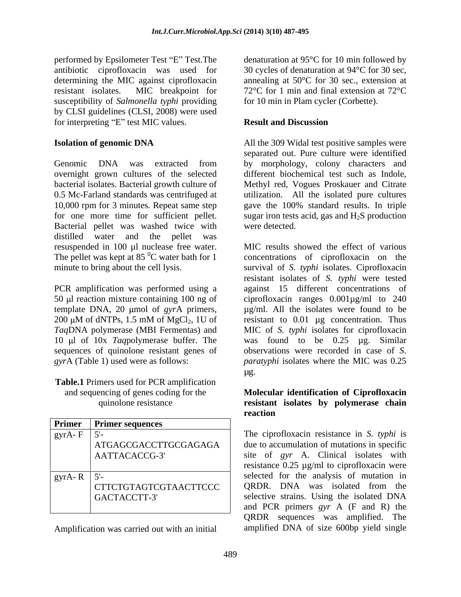performed by Epsilometer Test "E" Test. The antibiotic ciprofloxacin was used for 30 cycles of denaturation at 94°C for 30 sec, determining the MIC against ciprofloxacin resistant isolates. MIC breakpoint for 72°C for 1 min and final extension at 72°C susceptibility of *Salmonella typhi* providing by CLSI guidelines (CLSI, 2008) were used for interpreting "E" test MIC values. **Result and Discussion** 

Genomic DNA was extracted from by morphology, colony characters and overnight grown cultures of the selected different biochemical test such as Indole, bacterial isolates. Bacterial growth culture of Methyl red, Vogues Proskauer and Citrate 0.5 Mc-Farland standards was centrifuged at utilization. All the isolated pure cultures 10,000 rpm for 3 minutes. Repeat same step gave the 100% standard results. In triple for one more time for sufficient pellet. sugar iron tests acid, gas and  $H_2S$  production Bacterial pellet was washed twice with were detected. distilled water and the pellet was resuspended in 100 µl nuclease free water.

PCR amplification was performed using a template DNA, 20 µmol of *gyrA* primers,

**Table.1** Primers used for PCR amplification

|                    |                                | ---------                                        |
|--------------------|--------------------------------|--------------------------------------------------|
|                    | <b>Primer</b> Primer sequences |                                                  |
| gyrA-F             |                                | The ciprofloxacin resistance in S. typhi is      |
|                    | ATGAGCGACCTTGCGAGAGA           | due to accumulation of mutations in specific     |
|                    | AATTACACCG-3'                  | site of gyr A. Clinical isolates with            |
|                    |                                | resistance $0.25 \mu g/ml$ to ciprofloxacin were |
| gyrA-R $\vert$ 5'- |                                | selected for the analysis of mutation in         |
|                    | CTTCTGTAGTCGTAACTTCCC          | QRDR. DNA was isolated from the                  |
|                    | GACTACCTT-3'                   | selective strains. Using the isolated DNA        |
|                    |                                | and PCR primers gyr A (F and R) the              |

Amplification was carried out with an initial

denaturation at 95°C for 10 min followed by annealing at 50°C for 30 sec., extension at for 10 min in Plam cycler (Corbette).

# **Result and Discussion**

**Isolation of genomic DNA** All the 309 Widal test positive samples were separated out. Pure culture were identified were detected.

The pellet was kept at 85 $^{0}$ C water bath for 1 concentrations of ciprofloxacin on the minute to bring about the cell lysis. survival of *S. typhi* isolates. Ciprofloxacin 50 µl reaction mixture containing 100 ng of ciprofloxacin ranges  $0.001\mu\text{g/ml}$  to 240 200  $\mu$ M of dNTPs, 1.5 mM of MgCl<sub>2</sub>, 1U of resistant to 0.01  $\mu$ g concentration. Thus *Taq*DNA polymerase (MBI Fermentas) and MIC of *S. typhi* isolates for ciprofloxacin 10 µl of 10x *Taq* polymerase buffer. The was found to be 0.25 µg. Similar sequences of quinolone resistant genes of observations were recorded in case of *S*. *gyr*A (Table 1) used were as follows: *paratyphi* isolates where the MIC was 0.25 MIC results showed the effect of various resistant isolates of *S. typhi* were tested against 15 different concentrations of µg/ml. All the isolates were found to be resistant to 0.01 µg concentration. Thus µg.

### and sequencing of genes coding for the **Molecular identification of Ciprofloxacin** quinolone resistance **resistant isolates by polymerase chain reaction**

ATGAGCGACCTTGCGAGAGA due to accumulation of mutations in specific AATTACACCG-3' site of *gyr* A. Clinical isolates with CTTCTGTAGTCGTAACTTCCC QRDR. DNA was isolated from the GACTACCTT-3' Selective strains. Using the isolated DNA resistance 0.25 µg/ml to ciprofloxacin were and PCR primers *gyr* A (F and R) the QRDR sequences was amplified. The amplified DNA of size 600bp yield single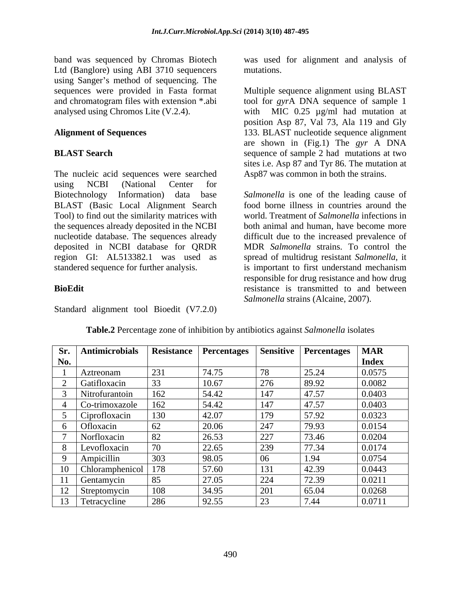Ltd (Banglore) using ABI 3710 sequencers using Sanger's method of sequencing. The and chromatogram files with extension \*.abi

The nucleic acid sequences were searched using NCBI (National Center for Biotechnology Information) data base *Salmonella* is one of the leading cause of BLAST (Basic Local Alignment Search Tool) to find out the similarity matrices with the sequences already deposited in the NCBI nucleotide database. The sequences already difficult due to the increased prevalence of deposited in NCBI database for QRDR MDR *Salmonella* strains. To control the region GI: AL513382.1 was used as spread of multidrug resistant *Salmonella*, it standered sequence for further analysis. is important to first understand mechanism

Standard alignment tool Bioedit (V7.2.0)

band was sequenced by Chromas Biotech was used for alignment and analysis of mutations.

sequences were provided in Fasta format Multiple sequence alignment using BLAST analysed using Chromos Lite (V.2.4). with MIC 0.25 µg/ml had mutation at **Alignment of Sequences** 133. BLAST nucleotide sequence alignment **BLAST Search** sequence of sample 2 had mutations at two tool for *gyr*A DNA sequence of sample 1 position Asp 87, Val 73, Ala 119 and Gly are shown in (Fig.1) The *gyr* A DNA sites i.e. Asp 87 and Tyr 86. The mutation at Asp87 was common in both the strains.

**BioEdit** resistance is transmitted to and between food borne illness in countries around the world. Treatment of *Salmonella* infections in both animal and human, have become more responsible for drug resistance and how drug *Salmonella* strains (Alcaine, 2007).

| Sr.            | Antimicrobials  | <b>Resistance</b> | <b>Percentages</b> | <b>Sensitive</b> | <b>Percentages</b> | <b>MAR</b>   |
|----------------|-----------------|-------------------|--------------------|------------------|--------------------|--------------|
| No.            |                 |                   |                    |                  |                    | <b>Index</b> |
|                | Aztreonam       | 231               | 74.75              | 78               | 25.24              | 0.0575       |
|                | Gatifloxacin    | 33                | 10.67              | 276              | 89.92              | 0.0082       |
|                | Nitrofurantoin  | 162               | 54.42              | 147              | 47.57              | 0.0403       |
|                | Co-trimoxazole  | 162               | 54.42              | 147              | 47.57              | 0.0403       |
|                | Ciprofloxacin   | 130               | 42.07              | 179              | 57.92              | 0.0323       |
|                | Ofloxacin       | 62                | 20.06              | 247              | 79.93              | 0.0154       |
|                | Norfloxacin     | 82                | 26.53              | 227              | 73.46              | 0.0204       |
|                | Levofloxacin    | $\sqrt{2}$        | 22.65              | 239              | 77.34              | 0.0174       |
|                | Ampicillin      | 303               | 98.05              | 06               | 1.94               | 0.0754       |
|                | Chloramphenicol | $178$             | 57.60              | 131              | 42.39              | 0.0443       |
|                | Gentamycin      | 85                | 27.05              | 224              | 72.39              | 0.0211       |
| 1 <sub>0</sub> | Streptomycin    | 108               | 34.95              | 201              | 65.04              | 0.0268       |
|                | Tetracycline    | 286               | 92.55              | 23               | 7.44               | 0.0711       |

**Table.2** Percentage zone of inhibition by antibiotics against *Salmonella* isolates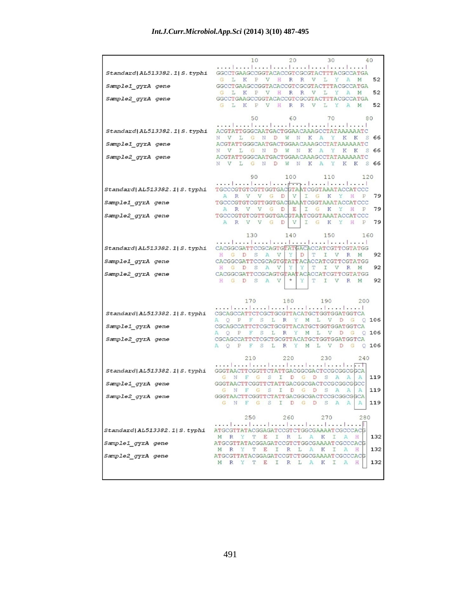|                                  | 10<br>20<br>30<br>40                                                                                                                 |
|----------------------------------|--------------------------------------------------------------------------------------------------------------------------------------|
| Standard AL513382.1 S.typhi      | GGCCTGAAGCCGGTACACCGTCGCGTACTTTACGCCATGA<br>52<br>L<br>K<br>P V<br>H<br>G<br>R<br>R<br>V<br>L<br>X<br>А                              |
| Sample1 gyrA gene                | GGCCTGAAGCCGGTACACCGTCGCGTACTTTACGCCATGA                                                                                             |
| Sample2 gyrA gene                | 52<br>L<br>$\mathbb{P}$<br>V<br>Η<br>R<br>R<br>L<br>Y<br>A<br>G<br>K<br>V<br>М<br>GGCCTGAAGCCGGTACACCGTCGCGTACTTTACGCCATGA           |
|                                  | H<br>$_{\rm R}$<br>L<br>52<br>L<br>K<br>$\mathbf{P}$<br>V<br>R<br>V<br>Y<br>$\mathbb{A}$<br>M<br>G                                   |
|                                  | 50<br>60<br>70<br>80                                                                                                                 |
| Standard   AL513382.1   S. typhi | ACGTATTGGGCAATGACTGGAACAAAGCCTATAAAAAATC                                                                                             |
| Sample1_gyrA gene                | L<br>G N<br>D<br>W<br>N<br>К<br>S<br>66<br>N V<br>$\mathbb{A}$<br>Y<br>K<br>$\mathbb{K}$<br>ACGTATTGGGCAATGACTGGAACAAAGCCTATAAAAAATC |
| Sample2_gyrA gene                | L<br>G<br>N<br>D<br>W<br>К<br>Y<br>S<br>66<br>N<br>V<br>N<br>A<br>K<br>К<br>ACGTATTGGCCAATGACTGGAACAAAGCCTATAAAAAATC                 |
|                                  | L<br>G N<br>D<br>W<br>$\mathbb N$<br>К<br>$\mathbf{A}$<br>Y<br>$S$ 66<br>N V<br>K<br>К                                               |
|                                  | 90<br>100 110<br>120                                                                                                                 |
| Standard AL513382.1 S.typhi      | TGCCCGTGTCGTTGGTGACGTAATCGGTAAATACCATCCC                                                                                             |
|                                  | V<br>I<br>G<br>79<br>A<br>$\mathbb{R}$<br>V V G<br>К<br>Y<br>H<br>D<br>Р<br>TGCCCGTGTCGTTGGTGACGAAATCGGTAAATACCATCCC                 |
| Sample1_gyrA gene                | V<br>V<br>G<br>D<br>E<br>I<br>G<br>Y<br>P<br>79<br>$_{\rm R}$<br>К<br>Н                                                              |
| Sample2 gyrA gene                | TGCCCGTGTCGTTGGTGACGTAATCGGTAAATACCATCCC<br>G K Y<br>H<br>79<br>A R V V G<br>D<br>V<br>I<br>P                                        |
|                                  | 130<br>140<br>150<br>160                                                                                                             |
|                                  |                                                                                                                                      |
| Standard AL513382.1 S.typhi      | CACGGCGATTCCGCAGTGTATGACACCATCGTTCGTATGG<br>Y<br>T<br>92<br>A<br>V<br>D<br>I<br>H<br>G<br>D<br>S<br>V<br>R<br>М                      |
| Sample1_gyrA gene                | CACGGCGATTCCGCAGTGTATTACACCATCGTTCGTATGG<br>Y<br>Y<br>92<br>G<br>D<br>S<br>A<br>V<br>T<br>I<br>V<br>R<br>M                           |
| Sample2 gyrA gene                | CACGGCGATTCCGCAGTGTAATACACCATCGTTCGTATGG<br>S A<br>$^\star$<br>Y<br>92<br>H G D<br>V<br>T<br>I V<br>$\mathbb R$<br>M                 |
|                                  |                                                                                                                                      |
|                                  | 170<br>180<br>190<br>200                                                                                                             |
| Standard AL513382.1 S.typhi      | CGCAGCCATTCTCGCTGCGTTACATGCTGGTGGATGGTCA                                                                                             |
|                                  | A Q P F S L R Y M L V D G<br>$Q$ 106                                                                                                 |
| Sample1_gyrA gene                | CGCAGCCATTCTCGCTGCGTTACATGCTGGTGGATGGTCA<br>F<br>S<br>L<br>R<br>Y<br>М<br>L<br>V<br>D<br>G<br>106<br>AQ P<br>O                       |
| Sample2_gyrA gene                | CGCAGCCATTCTCGCTGCGTTACATGCTGGTGGATGGTCA<br>A Q P F S L R Y M L V D G<br>0.106                                                       |
|                                  | 210<br>220<br>230<br>240                                                                                                             |
| Standard AL513382.1 S.typhi      | .               <del>. . 1</del><br>GGGTAACTTCGGTTCTATTGACGGCGACTCCGCGGCGGCA                                                         |
|                                  | 119<br>N<br>F<br>G<br>S<br>I<br>D<br>G<br>D<br>S<br>$\mathbb{A}$<br>$\mathbb{A}$<br>A                                                |
| Sample1_gyrA gene                | GGGTAACTTCGGTTCTATTGACGGCGACTCCGCGGCGGCC<br>F G S<br>I<br>D<br>G D<br>S<br>A<br>A<br>119<br>G N<br>A                                 |
| Sample2_gyrA gene                | GGGTAA<br>TATTGACGGCGACTC<br>CGCGGCGGCA<br>F G S I D G D S A<br>119<br>$\mathbb{A}$<br>$\mathbb{A}$<br>GN                            |
|                                  |                                                                                                                                      |
|                                  | 250<br>260<br>270<br>280                                                                                                             |
| Standard  AL513382.1  S. typhi   | ATGCGTTATACGGAGATCCGTCTGGCGAAAATCGCCCACG<br>132<br>M<br>R<br>т<br>E<br>R<br>L<br>К<br>ı                                              |
| Sample1 gyrA gene                |                                                                                                                                      |
|                                  | ATGCGTTATACGGAGATCCGTCTGGCGAAAATCGCCCACG                                                                                             |
| Sample2_gyrA gene                | 132<br>R<br>L<br>А<br>Η<br>M<br>$\mathbb{R}$<br>Y<br>T<br>E<br>Ι<br>К<br>Ι<br>А<br>ATGCGTTATACGGAGATCCGTCTGGCGAAAATCGCCCACG          |
|                                  | 132<br>L<br>R<br>Y<br>T<br>E<br>I<br>$\mathbb{R}$<br>A<br>К<br>I<br>A<br>H<br>M                                                      |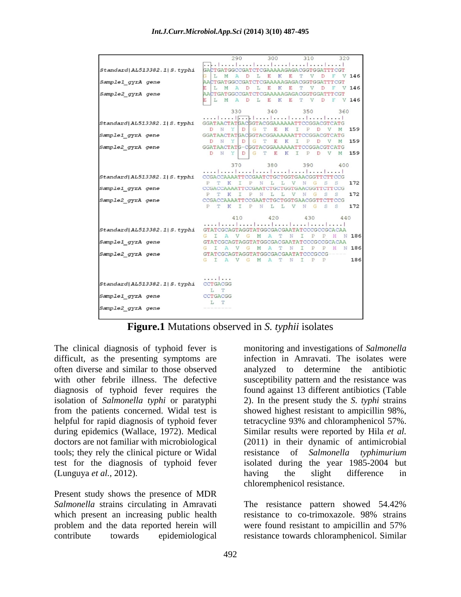|                                           | 300 310 320<br>290                                                                                               |
|-------------------------------------------|------------------------------------------------------------------------------------------------------------------|
| Standard   AL513382.1   S. typhi          | GACTGATGGCCGATCTCGAAAAAGAGACGGTGGATTTCGT<br>L M A D L E<br>K<br>E<br>T V D<br>$V$ 146                            |
| Sample1 gyrA gene                         | AACTGATGGCCGATCTCGAAAAAGAGACGGTGGATTTCGT<br>L M A D L E K<br>E<br>T V<br>D<br>F V 146                            |
| Sample2 gyrA gene                         | AACTGATGGCCGATCTCGAAAAAGAGACGGTGGATTTCGT<br>L M A D L E K<br>E<br>T V D F V 146                                  |
|                                           | 330<br>340<br>350<br>360                                                                                         |
| Standard AL513382.1 S.typhi               | GGATAACTATGACGGTACGGAAAAAATTCCGGACGTCATG                                                                         |
| Sample1_gyrA gene                         | D N Y D G<br>T<br>E<br>K I<br>159<br>P<br>D<br>GGATAACTATGACGGTACGGAAAAAATTCCGGACGTCATG                          |
| Sample2 gyrA gene                         | YDG<br>159<br>D N<br>T<br>E<br>К<br>I<br>$\mathbf{P}$<br>D<br>M<br>V<br>GGATAACTATG-CGGTACGGAAAAAATTCCGGACGTCATG |
|                                           | D N<br>Y DG TE<br>К<br>$\mathbb{I}$<br>$\mathbf{P}$<br>$\mathbb{D}$<br>V<br>159<br>M                             |
|                                           | 370<br>380<br>390<br>400                                                                                         |
| Standard   AL513382.1   S. typhi          | CCGACCAAAATTCCGAATCTGCTGGTGAACGGTTCTTCCG<br>172<br>P T K I P N L L V N G<br>S<br>S                               |
| Sample1_gyrA gene                         | CCGACCAAAATTCCGAATCTGCTGGTGAACGGTTCTTCCG<br>172<br>P T K<br>I P N<br>L L<br>V N<br>G<br>S<br>S                   |
| Sample2 gyrA gene                         | CCGACCAAAATTCCGAATCTGCTGGTGAACGGTTCTTCCG                                                                         |
|                                           | P T K I P N L L V N G<br>172<br>S<br>S                                                                           |
|                                           | 410<br>420 430<br>440                                                                                            |
| Standard AL513382.1 S.typhi               | GTATCGCAGTAGGTATGGCGACGAATATCCCGCCCGCACAA<br>G I A V G M<br>$\mathbf{A}$<br>N 186<br>т<br>N<br>I<br>P P H        |
| Sample1 gyrA gene                         | GTATCGCAGTAGGTATGGCGACGAATATCCCGCCGCACAA                                                                         |
| Sample2 gyrA gene                         | G I A V G<br>M<br>$\mathbf{A}$<br>T<br>N<br>I<br>P<br>H N 186<br>P<br>GTATCGCAGTAGGTATGGCGACGAATATCCCGCCG        |
|                                           | I P P<br>186<br>G I A V G M A<br>T<br>N                                                                          |
|                                           |                                                                                                                  |
| Standard   AL513382.1   S. typhi CCTGACGG | .                                                                                                                |
| CCTGACGG<br>Sample1 gyrA gene             | L T                                                                                                              |
| Sample2 gyrA gene                         | L T                                                                                                              |

**Figure.1** Mutations observed in *S. typhii* isolates

The clinical diagnosis of typhoid fever is monitoring and investigationsof *Salmonella*  difficult, as the presenting symptoms are infection in Amravati. The isolates were often diverse and similar to those observed analyzed to determine the antibiotic with other febrile illness. The defective susceptibility pattern and the resistance was diagnosis of typhoid fever requires the found against 13 different antibiotics (Table isolation of *Salmonella typhi* or paratyphi 2). In the present study the *S. typhi* strains from the patients concerned. Widal test is showed highest resistant to ampicillin 98%, helpful for rapid diagnosis of typhoid fever during epidemics (Wallace, 1972). Medical Similar results were reported by Hila *et al.* doctors are not familiar with microbiological (2011) in their dynamic of antimicrobial tools; they rely the clinical picture or Widal test for the diagnosis of typhoid fever isolated during the year 1985-2004 but

Present study shows the presence of MDR *Salmonella* strains circulating in Amravati <br>
The resistance pattern showed 54.42%<br>
which present an increasing public health <br>
resistance to co-trimoxazole. 98% strains which present an increasing public health problem and the data reported herein will

(Lunguya *et al.,* 2012). tetracycline 93% and chloramphenicol 57%. resistance of *Salmonella typhimurium* having the slight difference in chloremphenicol resistance.

contribute towards epidemiological resistance towards chloramphenicol. SimilarThe resistance pattern showed 54.42% resistance to co-trimoxazole. 98% strains were found resistant to ampicillin and 57%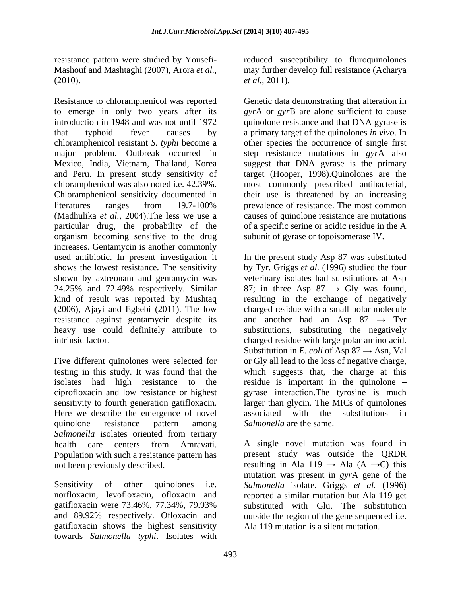Resistance to chloramphenicol was reported to emerge in only two years after its introduction in 1948 and was not until 1972 quinolone resistance and that DNA gyrase is that typhoid fever causes by a primary target of the quinolones *in vivo*. In chloramphenicol resistant *S.typhi* become a other species the occurrence of single first major problem. Outbreak occurred in step resistance mutations in *gyr*A also Mexico, India, Vietnam, Thailand, Korea suggest that DNA gyrase is the primary and Peru. In present study sensitivity of target (Hooper, 1998).Quinolones are the chloramphenicol was also noted i.e. 42.39%. most commonly prescribed antibacterial, Chloramphenicol sensitivity documented in their use is threatened by an increasing literatures ranges from 19.7-100% prevalence of resistance. The most common (Madhulika *et al.,* 2004).The less we use a causes of quinolone resistance are mutations particular drug, the probability of the of a specific serine or acidic residue in the A organism becoming sensitive to the drug increases. Gentamycin is another commonly used antibiotic. In present investigation it In the present study Asp 87 was substituted shows the lowest resistance. The sensitivity by Tyr. Griggs *et al.* (1996) studied the four shown by aztreonam and gentamycin was veterinary isolates had substitutions at Asp 24.25% and 72.49% respectively. Similar  $\qquad 87$ ; in three Asp  $87 \rightarrow$  Gly was found, kind of result was reported by Mushtaq resulting in the exchange of negatively (2006), Ajayi and Egbebi (2011). The low charged residue with a small polar molecule resistance against gentamycin despite its and another had an Asp  $87 \rightarrow \text{Tyr}$ heavy use could definitely attribute to substitutions, substituting the negatively

Here we describe the emergence of novel associated with the substitutions in quinolone resistance pattern among Salmonella are the same. *Salmonella* isolates oriented from tertiary Population with such a resistance pattern has

gatifloxacin shows the highest sensitivity towards *Salmonella typhi*. Isolates with

resistance pattern were studied by Yousefi- reduced susceptibility to fluroquinolones Mashouf and Mashtaghi (2007), Arora *et al.,* may further develop full resistance (Acharya  $et al., 2010$ ). *et al.,* 2011).

> Genetic data demonstrating that alteration in *gyr*A or *gyr*B are alone sufficient to cause subunit of gyrase or topoisomerase IV.

intrinsic factor. charged residue with large polar amino acid. Five different quinolones were selected for or Gly all lead to the loss of negative charge, testing in this study. It was found that the which suggests that, the charge at this isolates had high resistance to the residue is important in the quinolone – ciprofloxacin and low resistance or highest gyrase interaction.The tyrosine is much sensitivity to fourth generation gatifloxacin. larger than glycin. The MICs of quinolones Substitution in *E. coli* of Asp  $87 \rightarrow$  Asn, Val associated with the substitutions in *Salmonella* are the same.

health care centers from Amravati. A single novel mutation was found in not been previously described. The resulting in Ala 119  $\rightarrow$  Ala (A  $\rightarrow$ C) this Sensitivity of other quinolones i.e. *Salmonella* isolate. Griggs *et al.* (1996) norfloxacin, levofloxacin, ofloxacin and reported a similar mutation but Ala 119 get gatifloxacin were 73.46%, 77.34%, 79.93% substituted with Glu. The substitution and 89.92% respectively. Ofloxacin and outside the region of the gene sequenced i.e. present study was outside the QRDR mutation was present in *gyr*A gene of the Ala 119 mutation is a silent mutation.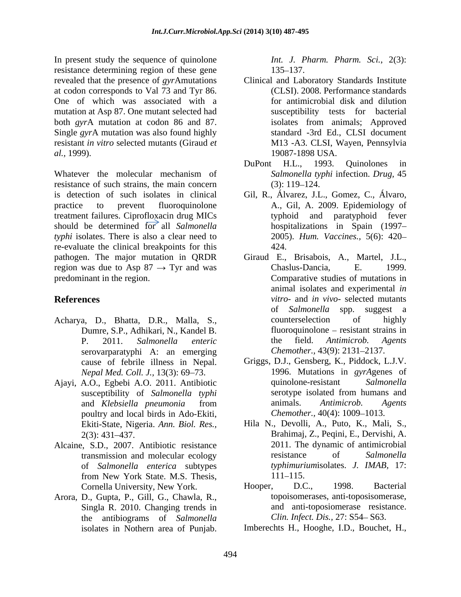In present study the sequence of quinolone resistance determining region of these gene 135–137. at codon corresponds to Val 73 and Tyr 86. One of which was associated with a mutation at Asp 87. One mutant selected had both *gyr*A mutation at codon 86 and 87. Single *gyr*A mutation was also found highly resistant *in vitro* selected mutants (Giraud *et* 

Whatever the molecular mechanism of Salmonella typhi infection. Drug, 45 resistance of such strains, the main concern (3): 119–124. is detection of such isolates in clinical Gil, R., Álvarez, J.L., Gomez, C., Álvaro, practice to prevent fluoroquinolone A., Gil, A. 2009. Epidemiology of treatment failures. Ciprofloxacin drug MICs should be determined for all *Salmonella typhi* isolates. There is also a clear need to re-evaluate the clinical breakpoints for this pathogen. The major mutation in QRDR Giraud E., Brisabois, A., Martel, J.L., region was due to Asp  $87 \rightarrow Tyr$  and was Chaslus-Dancia, E. 1999.

- Dumre, S.P., Adhikari, N., Kandel B. serovarparatyphi A: an emerging *Nepal Med. Coll. J.,* 13(3): 69–73.
- susceptibility of *Salmonella typhi* poultry and local birds in Ado-Ekiti,
- Alcaine, S.D., 2007. Antibiotic resistance of *Salmonella enterica* subtypes from New York State. M.S. Thesis,  $111-115$ .
- Arora, D., Gupta, P., Gill, G., Chawla, R., Singla R. 2010. Changing trends in the antibiograms of *Salmonella*

*Int. J. Pharm. Pharm. Sci.*, 2(3): 135–137.

- revealed that the presence of *gyr*Amutations Clinical and Laboratory Standards Institute *al.,* 1999). 19087-1898 USA. (CLSI). 2008. Performance standards for antimicrobial disk and dilution susceptibility tests for bacterial isolates from animals; Approved standard -3rd Ed., CLSI document M13 -A3. CLSI, Wayen, Pennsylvia
	- DuPont H.L., 1993. Quinolones in *Salmonella typhi* infection. *Drug,* 45  $(3): 119-124.$
	- typhoid and paratyphoid fever hospitalizations in Spain (1997– 2005). *Hum. Vaccines.,* 5(6): 420 424.
- predominant in the region. Comparative studies of mutations in **References** *vitro*- and *in vivo*- selected mutants Acharya, D., Bhatta, D.R., Malla, S., P. 2011. *Salmonella enteric* Giraud E., Brisabois, A., Martel, J.L.,<br>Chaslus-Dancia, E. 1999. animal isolates and experimental *in*  of *Salmonella* spp. suggest a counterselection of highly  $fluoroguinolone – resistant strains in$ the field. *Antimicrob. Agents Chemother., 43(9): 2131-2137.*
- cause of febrile illness in Nepal. Griggs, D.J., Gensberg, K., Piddock, L.J.V. Ajayi, A.O., Egbebi A.O. 2011. Antibiotic quinolone-resistant Salmonella<br>susceptibility of Salmonella typhi serotype isolated from humans and and *Klebsiella pneumonia* from 1996. Mutations in *gyrA*genes of quinolone-resistant *Salmonella* serotype isolated from humans and animals. *Antimicrob. Agents Chemother., 40(4): 1009-1013.* 
	- Ekiti-State, Nigeria. *Ann. Biol. Res.,* Hila N., Devolli, A., Puto, K., Mali, S., 2(3): 431 437. Brahimaj, Z., Peqini, E., Dervishi, A. transmission and molecular ecology entity resistance of Salmonella 2011. The dynamic of antimicrobial resistance of *Salmonella typhimurium*isolates. *J. IMAB,* 17: 111–115.
	- Cornella University, New York. Hooper, D.C., 1998. Bacterial Hooper, D.C., 1998. Bacterial topoisomerases, anti-toposisomerase, and anti-toposiomerase resistance. *Clin. Infect. Dis., 27: S54-S63.*
	- isolates in Nothern area of Punjab. Imberechts H., Hooghe, I.D., Bouchet, H.,